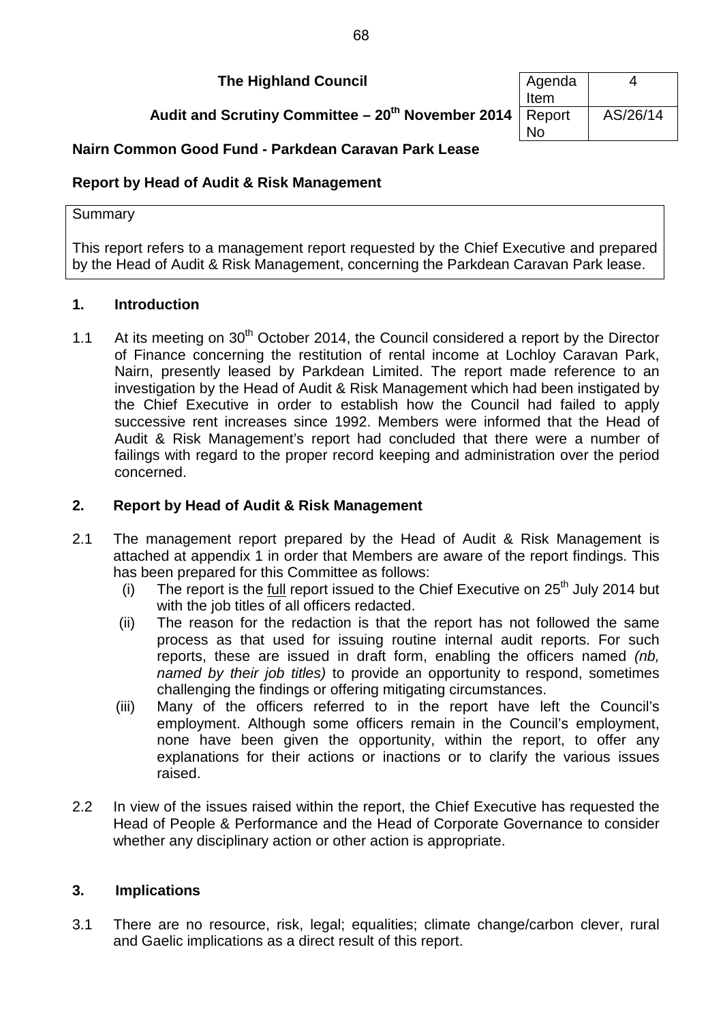**The Highland Council** 

**Audit and Scrutiny Committee – 20<sup>th</sup> November 2014** 

| Agenda<br>Item | 4        |
|----------------|----------|
| Report<br>N٥   | AS/26/14 |

# **Nairn Common Good Fund - Parkdean Caravan Park Lease**

# **Report by Head of Audit & Risk Management**

### **Summary**

This report refers to a management report requested by the Chief Executive and prepared by the Head of Audit & Risk Management, concerning the Parkdean Caravan Park lease.

## **1. Introduction**

1.1 At its meeting on  $30<sup>th</sup>$  October 2014, the Council considered a report by the Director of Finance concerning the restitution of rental income at Lochloy Caravan Park, Nairn, presently leased by Parkdean Limited. The report made reference to an investigation by the Head of Audit & Risk Management which had been instigated by the Chief Executive in order to establish how the Council had failed to apply successive rent increases since 1992. Members were informed that the Head of Audit & Risk Management's report had concluded that there were a number of failings with regard to the proper record keeping and administration over the period concerned.

# **2. Report by Head of Audit & Risk Management**

- 2.1 The management report prepared by the Head of Audit & Risk Management is attached at appendix 1 in order that Members are aware of the report findings. This has been prepared for this Committee as follows:
	- (i) The report is the  $full$  report issued to the Chief Executive on  $25<sup>th</sup>$  July 2014 but</u> with the job titles of all officers redacted.
	- (ii) The reason for the redaction is that the report has not followed the same process as that used for issuing routine internal audit reports. For such reports, these are issued in draft form, enabling the officers named *(nb, named by their job titles)* to provide an opportunity to respond, sometimes challenging the findings or offering mitigating circumstances.
	- (iii) Many of the officers referred to in the report have left the Council's employment. Although some officers remain in the Council's employment, none have been given the opportunity, within the report, to offer any explanations for their actions or inactions or to clarify the various issues raised.
- 2.2 In view of the issues raised within the report, the Chief Executive has requested the Head of People & Performance and the Head of Corporate Governance to consider whether any disciplinary action or other action is appropriate.

# **3. Implications**

3.1 There are no resource, risk, legal; equalities; climate change/carbon clever, rural and Gaelic implications as a direct result of this report.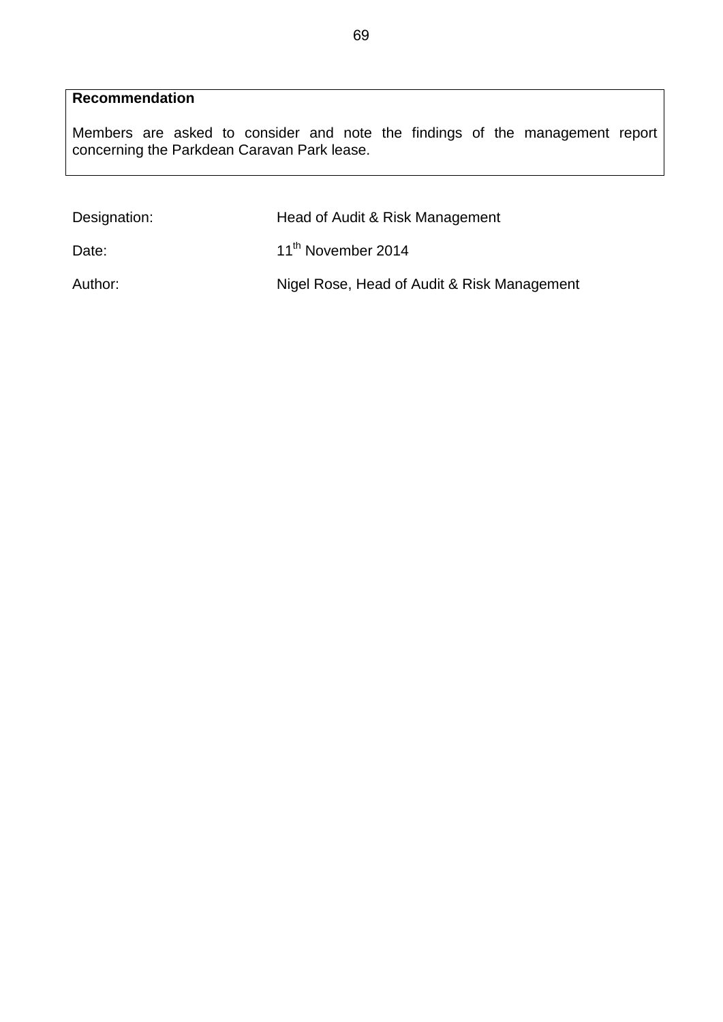# **Recommendation**

Members are asked to consider and note the findings of the management report concerning the Parkdean Caravan Park lease.

| Designation: | Head of Audit & Risk Management             |  |
|--------------|---------------------------------------------|--|
| Date:        | 11 <sup>th</sup> November 2014              |  |
| Author:      | Nigel Rose, Head of Audit & Risk Management |  |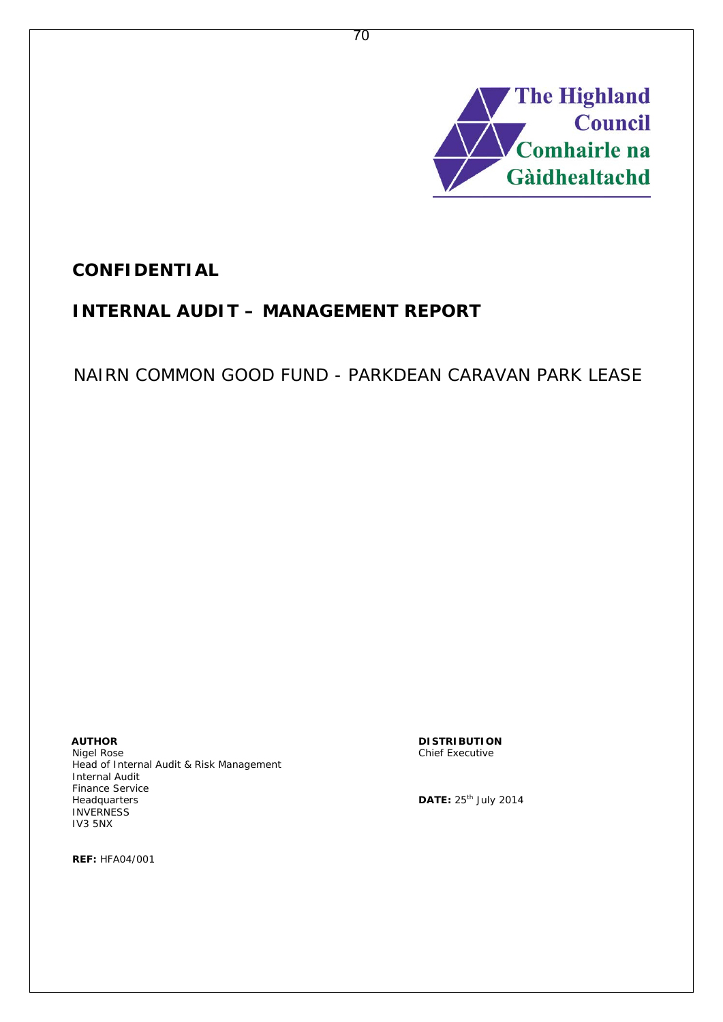

# **CONFIDENTIAL**

# **INTERNAL AUDIT – MANAGEMENT REPORT**

# NAIRN COMMON GOOD FUND - PARKDEAN CARAVAN PARK LEASE

**AUTHOR DISTRIBUTION** Head of Internal Audit & Risk Management Internal Audit Finance Service Headquarters **DATE:**  $25<sup>th</sup>$  July 2014 **INVERNESS** IV3 5NX

Chief Executive

**REF:** HFA04/001

70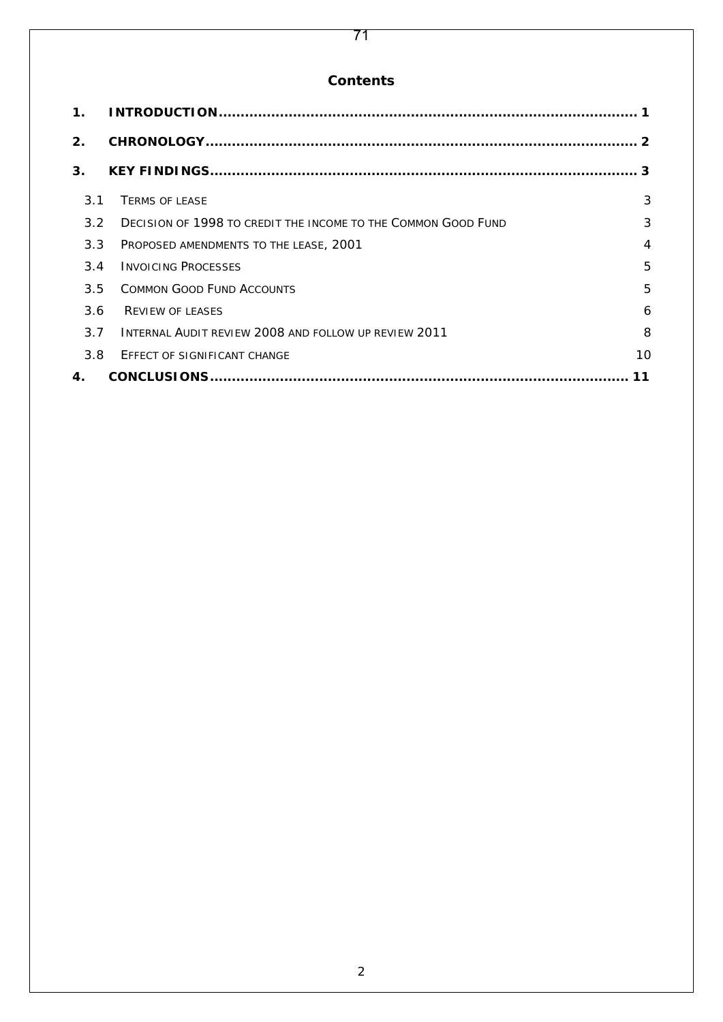# 71

# **Contents**

| $\mathbf 1$ .  |                                                               |                |
|----------------|---------------------------------------------------------------|----------------|
| 2.             |                                                               |                |
| 3 <sub>1</sub> |                                                               |                |
| 3.1            | <b>TERMS OF LEASE</b>                                         | 3              |
| 3.2            | DECISION OF 1998 TO CREDIT THE INCOME TO THE COMMON GOOD FUND | 3              |
| 3.3            | PROPOSED AMENDMENTS TO THE LEASE, 2001                        | $\overline{4}$ |
| 3.4            | <b>INVOICING PROCESSES</b>                                    | 5              |
| 3.5            | <b>COMMON GOOD FUND ACCOUNTS</b>                              | 5              |
| 3.6            | <b>REVIEW OF LEASES</b>                                       | 6              |
| 3.7            | <b>INTERNAL AUDIT REVIEW 2008 AND FOLLOW UP REVIEW 2011</b>   | 8              |
| 3.8            | <b>EFFECT OF SIGNIFICANT CHANGE</b>                           | 10             |
| 4.             |                                                               |                |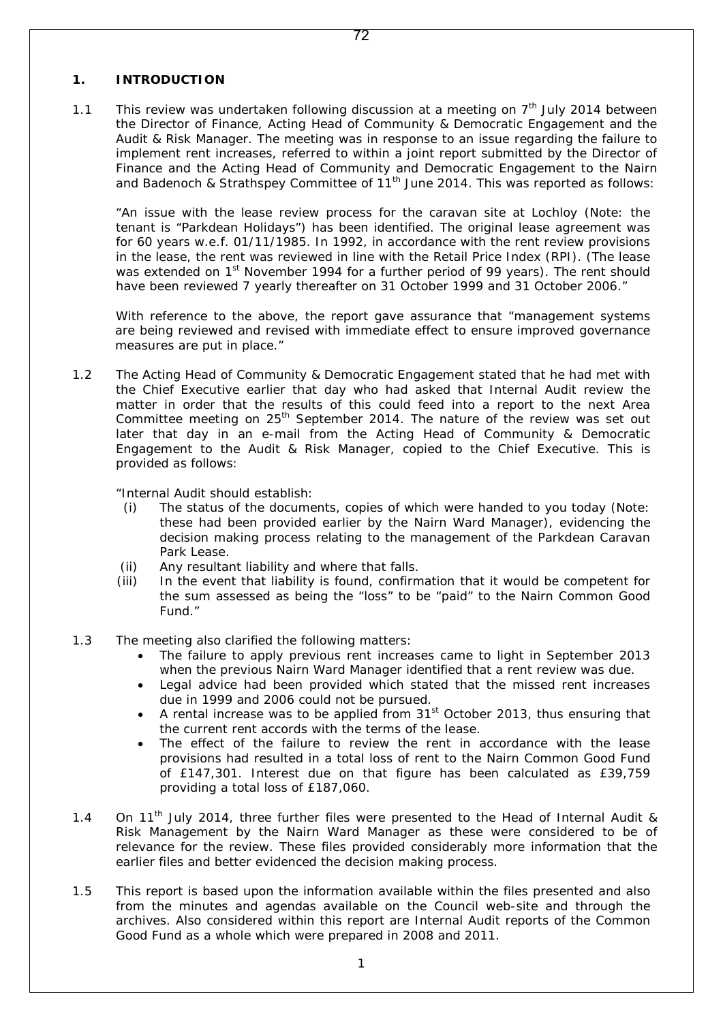#### **1. INTRODUCTION**

1.1 This review was undertaken following discussion at a meeting on  $7<sup>th</sup>$  July 2014 between the Director of Finance, Acting Head of Community & Democratic Engagement and the Audit & Risk Manager. The meeting was in response to an issue regarding the failure to implement rent increases, referred to within a joint report submitted by the Director of Finance and the Acting Head of Community and Democratic Engagement to the Nairn and Badenoch & Strathspey Committee of  $11<sup>th</sup>$  June 2014. This was reported as follows:

 "*An issue with the lease review process for the caravan site at Lochloy* (Note: the tenant is "Parkdean Holidays") *has been identified. The original lease agreement was for 60 years w.e.f. 01/11/1985. In 1992, in accordance with the rent review provisions in the lease, the rent was reviewed in line with the Retail Price Index (RPI). (The lease was extended on 1st November 1994 for a further period of 99 years). The rent should have been reviewed 7 yearly thereafter on 31 October 1999 and 31 October 2006."*

With reference to the above, the report gave assurance that "*management systems are being reviewed and revised with immediate effect to ensure improved governance measures are put in place."*

1.2 The Acting Head of Community & Democratic Engagement stated that he had met with the Chief Executive earlier that day who had asked that Internal Audit review the matter in order that the results of this could feed into a report to the next Area Committee meeting on 25<sup>th</sup> September 2014. The nature of the review was set out later that day in an e-mail from the Acting Head of Community & Democratic Engagement to the Audit & Risk Manager, copied to the Chief Executive. This is provided as follows:

*"Internal Audit should establish:*

- *(i) The status of the documents, copies of which were handed to you today* (Note: these had been provided earlier by the Nairn Ward Manager)*, evidencing the decision making process relating to the management of the Parkdean Caravan Park Lease.*
- *(ii) Any resultant liability and where that falls.*
- *(iii) In the event that liability is found, confirmation that it would be competent for the sum assessed as being the "loss" to be "paid" to the Nairn Common Good Fund."*
- 1.3 The meeting also clarified the following matters:
	- The failure to apply previous rent increases came to light in September 2013 when the previous Nairn Ward Manager identified that a rent review was due.
	- Legal advice had been provided which stated that the missed rent increases due in 1999 and 2006 could not be pursued.
	- A rental increase was to be applied from  $31<sup>st</sup>$  October 2013, thus ensuring that the current rent accords with the terms of the lease.
	- The effect of the failure to review the rent in accordance with the lease provisions had resulted in a total loss of rent to the Nairn Common Good Fund of £147,301. Interest due on that figure has been calculated as £39,759 providing a total loss of £187,060.
- 1.4 On 11<sup>th</sup> July 2014, three further files were presented to the Head of Internal Audit & Risk Management by the Nairn Ward Manager as these were considered to be of relevance for the review. These files provided considerably more information that the earlier files and better evidenced the decision making process.
- 1.5 This report is based upon the information available within the files presented and also from the minutes and agendas available on the Council web-site and through the archives. Also considered within this report are Internal Audit reports of the Common Good Fund as a whole which were prepared in 2008 and 2011.

1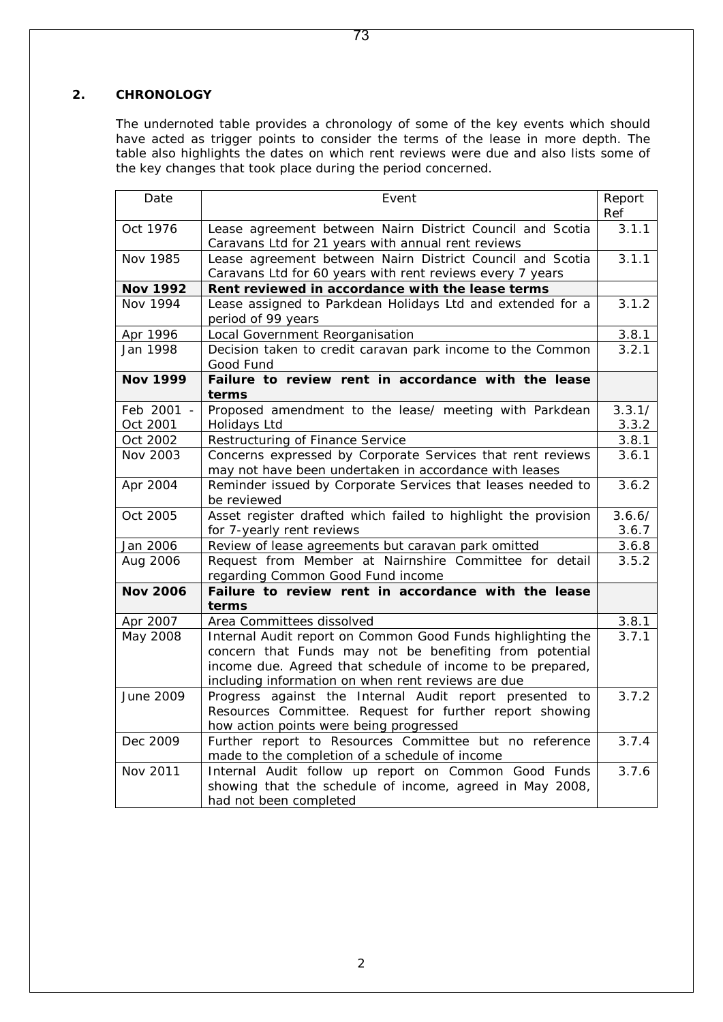### **2. CHRONOLOGY**

The undernoted table provides a chronology of some of the key events which should have acted as trigger points to consider the terms of the lease in more depth. The table also highlights the dates on which rent reviews were due and also lists some of the key changes that took place during the period concerned.

| Date                   | Event                                                                                                                                                                                                                                      |                 |  |  |  |
|------------------------|--------------------------------------------------------------------------------------------------------------------------------------------------------------------------------------------------------------------------------------------|-----------------|--|--|--|
| Oct 1976               | Lease agreement between Nairn District Council and Scotia<br>Caravans Ltd for 21 years with annual rent reviews                                                                                                                            |                 |  |  |  |
| Nov 1985               | Lease agreement between Nairn District Council and Scotia<br>Caravans Ltd for 60 years with rent reviews every 7 years                                                                                                                     |                 |  |  |  |
| <b>Nov 1992</b>        | Rent reviewed in accordance with the lease terms                                                                                                                                                                                           |                 |  |  |  |
| Nov 1994               | Lease assigned to Parkdean Holidays Ltd and extended for a<br>period of 99 years                                                                                                                                                           | 3.1.2           |  |  |  |
| Apr 1996               | Local Government Reorganisation                                                                                                                                                                                                            |                 |  |  |  |
| Jan 1998               | Decision taken to credit caravan park income to the Common<br>Good Fund                                                                                                                                                                    |                 |  |  |  |
| <b>Nov 1999</b>        | Failure to review rent in accordance with the lease<br>terms                                                                                                                                                                               |                 |  |  |  |
| Feb 2001 -<br>Oct 2001 | Proposed amendment to the lease/ meeting with Parkdean<br>Holidays Ltd                                                                                                                                                                     | 3.3.1/<br>3.3.2 |  |  |  |
| Oct 2002               | Restructuring of Finance Service                                                                                                                                                                                                           | 3.8.1           |  |  |  |
| Nov 2003               | Concerns expressed by Corporate Services that rent reviews<br>may not have been undertaken in accordance with leases                                                                                                                       |                 |  |  |  |
| Apr 2004               | Reminder issued by Corporate Services that leases needed to<br>be reviewed                                                                                                                                                                 |                 |  |  |  |
| Oct 2005               | Asset register drafted which failed to highlight the provision<br>for 7-yearly rent reviews                                                                                                                                                |                 |  |  |  |
| Jan 2006               | Review of lease agreements but caravan park omitted                                                                                                                                                                                        | 3.6.8           |  |  |  |
| Aug 2006               | Request from Member at Nairnshire Committee for detail<br>regarding Common Good Fund income                                                                                                                                                | 3.5.2           |  |  |  |
| <b>Nov 2006</b>        | Failure to review rent in accordance with the lease<br>terms                                                                                                                                                                               |                 |  |  |  |
| Apr 2007               | Area Committees dissolved                                                                                                                                                                                                                  | 3.8.1           |  |  |  |
| May 2008               | Internal Audit report on Common Good Funds highlighting the<br>concern that Funds may not be benefiting from potential<br>income due. Agreed that schedule of income to be prepared,<br>including information on when rent reviews are due | 3.7.1           |  |  |  |
| June 2009              | Progress against the Internal Audit report presented to<br>Resources Committee. Request for further report showing<br>how action points were being progressed                                                                              | 3.7.2           |  |  |  |
| Dec 2009               | Further report to Resources Committee but no reference<br>made to the completion of a schedule of income                                                                                                                                   | 3.7.4           |  |  |  |
| Nov 2011               | Internal Audit follow up report on Common Good Funds<br>showing that the schedule of income, agreed in May 2008,<br>had not been completed                                                                                                 | 3.7.6           |  |  |  |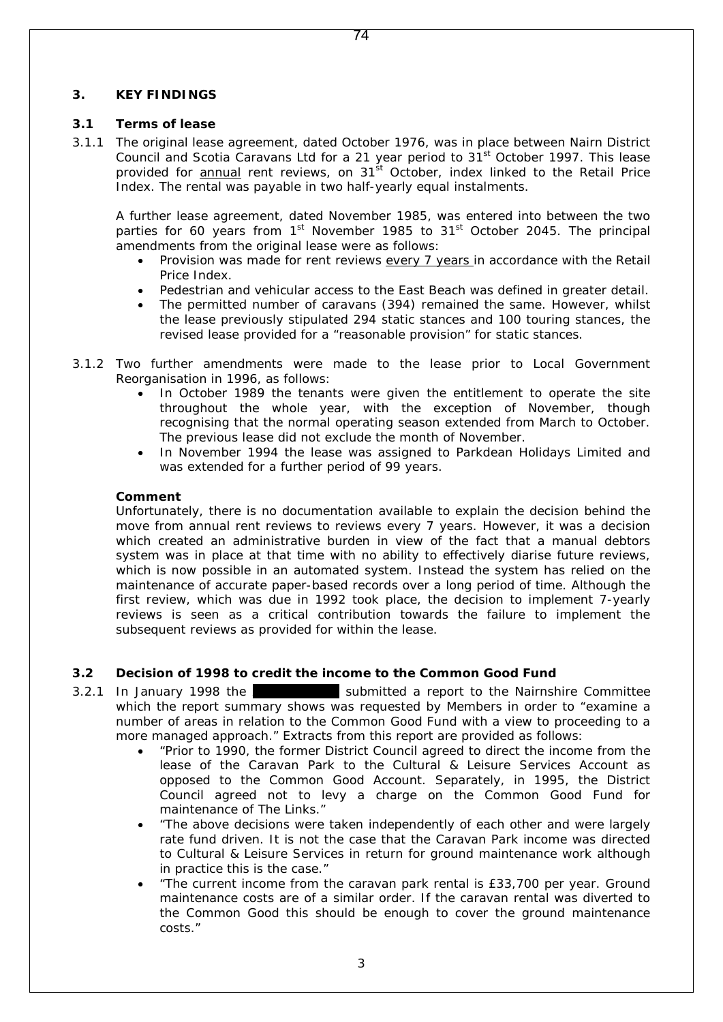#### **3. KEY FINDINGS**

#### **3.1 Terms of lease**

3.1.1 The original lease agreement, dated October 1976, was in place between Nairn District Council and Scotia Caravans Ltd for a 21 year period to 31<sup>st</sup> October 1997. This lease provided for **annual** rent reviews, on  $31<sup>st</sup>$  October, index linked to the Retail Price Index. The rental was payable in two half-yearly equal instalments.

A further lease agreement, dated November 1985, was entered into between the two parties for 60 years from  $1<sup>st</sup>$  November 1985 to 31 $<sup>st</sup>$  October 2045. The principal</sup> amendments from the original lease were as follows:

- Provision was made for rent reviews every 7 years in accordance with the Retail Price Index.
- Pedestrian and vehicular access to the East Beach was defined in greater detail.
- The permitted number of caravans (394) remained the same. However, whilst the lease previously stipulated 294 static stances and 100 touring stances, the revised lease provided for a "reasonable provision" for static stances.
- 3.1.2 Two further amendments were made to the lease prior to Local Government Reorganisation in 1996, as follows:
	- In October 1989 the tenants were given the entitlement to operate the site throughout the whole year, with the exception of November, though recognising that the normal operating season extended from March to October. The previous lease did not exclude the month of November.
	- In November 1994 the lease was assigned to Parkdean Holidays Limited and was extended for a further period of 99 years.

#### **Comment**

Unfortunately, there is no documentation available to explain the decision behind the move from annual rent reviews to reviews every 7 years. However, it was a decision which created an administrative burden in view of the fact that a manual debtors system was in place at that time with no ability to effectively diarise future reviews, which is now possible in an automated system. Instead the system has relied on the maintenance of accurate paper-based records over a long period of time. Although the first review, which was due in 1992 took place, the decision to implement 7-yearly reviews is seen as a critical contribution towards the failure to implement the subsequent reviews as provided for within the lease.

#### **3.2 Decision of 1998 to credit the income to the Common Good Fund**

- 3.2.1 In January 1998 the **Area Manager submitted a report to the Nairnshire Committee** which the report summary shows was requested by Members in order to *"examine a number of areas in relation to the Common Good Fund with a view to proceeding to a more managed approach."* Extracts from this report are provided as follows:
	- *"Prior to 1990, the former District Council agreed to direct the income from the lease of the Caravan Park to the Cultural & Leisure Services Account as opposed to the Common Good Account. Separately, in 1995, the District Council agreed not to levy a charge on the Common Good Fund for maintenance of The Links."*
	- *"The above decisions were taken independently of each other and were largely rate fund driven. It is not the case that the Caravan Park income was directed to Cultural & Leisure Services in return for ground maintenance work although in practice this is the case."*
	- "*The current income from the caravan park rental is £33,700 per year. Ground maintenance costs are of a similar order. If the caravan rental was diverted to the Common Good this should be enough to cover the ground maintenance costs."*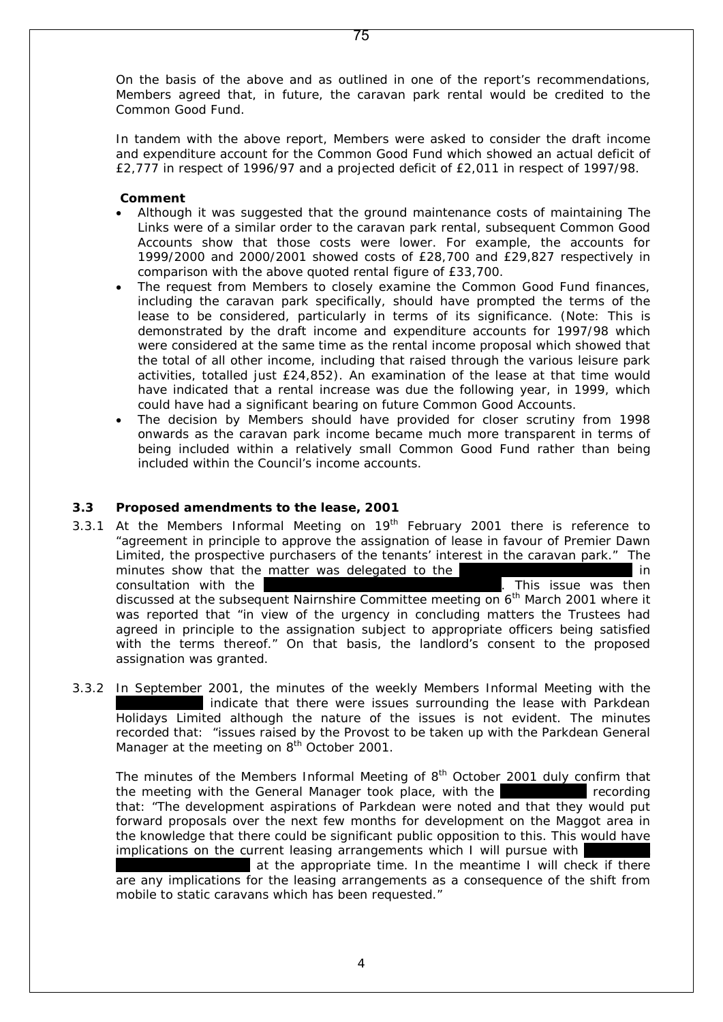On the basis of the above and as outlined in one of the report's recommendations, Members agreed that, in future, the caravan park rental would be credited to the Common Good Fund.

75

In tandem with the above report, Members were asked to consider the draft income and expenditure account for the Common Good Fund which showed an actual deficit of £2,777 in respect of 1996/97 and a projected deficit of £2,011 in respect of 1997/98.

#### **Comment**

- Although it was suggested that the ground maintenance costs of maintaining The Links were of a similar order to the caravan park rental, subsequent Common Good Accounts show that those costs were lower. For example, the accounts for 1999/2000 and 2000/2001 showed costs of £28,700 and £29,827 respectively in comparison with the above quoted rental figure of £33,700.
- The request from Members to closely examine the Common Good Fund finances, including the caravan park specifically, should have prompted the terms of the lease to be considered, particularly in terms of its significance. (Note: This is demonstrated by the draft income and expenditure accounts for 1997/98 which were considered at the same time as the rental income proposal which showed that the total of all other income, including that raised through the various leisure park activities, totalled just £24,852). An examination of the lease at that time would have indicated that a rental increase was due the following year, in 1999, which could have had a significant bearing on future Common Good Accounts.
- The decision by Members should have provided for closer scrutiny from 1998 onwards as the caravan park income became much more transparent in terms of being included within a relatively small Common Good Fund rather than being included within the Council's income accounts.

#### **3.3 Proposed amendments to the lease, 2001**

- 3.3.1 At the Members Informal Meeting on  $19<sup>th</sup>$  February 2001 there is reference to "*agreement in principle to approve the assignation of lease in favour of Premier Dawn Limited, the prospective purchasers of the tenants' interest in the caravan park."* The minutes show that the matter was delegated to the <br>consultation with the  $\begin{bmatrix} 1 & 0 \\ 0 & 1 \end{bmatrix}$  and  $\begin{bmatrix} 1 & 0 \\ 0 & 1 \end{bmatrix}$  in  $\begin{bmatrix} 1 & 0 \\ 0 & 1 \end{bmatrix}$  and  $\begin{bmatrix} 1 & 0 \\ 0 & 1 \end{bmatrix}$  and  $\begin{bmatrix} 1 & 0 \\ 0 & 1 \end{bmatrix}$  and consultation with the discussed at the subsequent Nairnshire Committee meeting on 6<sup>th</sup> March 2001 where it was reported that *"in view of the urgency in concluding matters the Trustees had agreed in principle to the assignation subject to appropriate officers being satisfied with the terms thereof."* On that basis, the landlord's consent to the proposed assignation was granted.
- 3.3.2 In September 2001, the minutes of the weekly Members Informal Meeting with the indicate that there were issues surrounding the lease with Parkdean Holidays Limited although the nature of the issues is not evident. The minutes recorded that: "*issues raised by the Provost to be taken up with the Parkdean General Manager at the meeting on 8th October 2001.*

The minutes of the Members Informal Meeting of  $8<sup>th</sup>$  October 2001 duly confirm that the meeting with the General Manager took place, with the **Area Manager recording** that: "*The development aspirations of Parkdean were noted and that they would put forward proposals over the next few months for development on the Maggot area in the knowledge that there could be significant public opposition to this. This would have implications on the current leasing arrangements which I will pursue with* 

at the appropriate time. In the meantime I will check if there *are any implications for the leasing arrangements as a consequence of the shift from mobile to static caravans which has been requested."*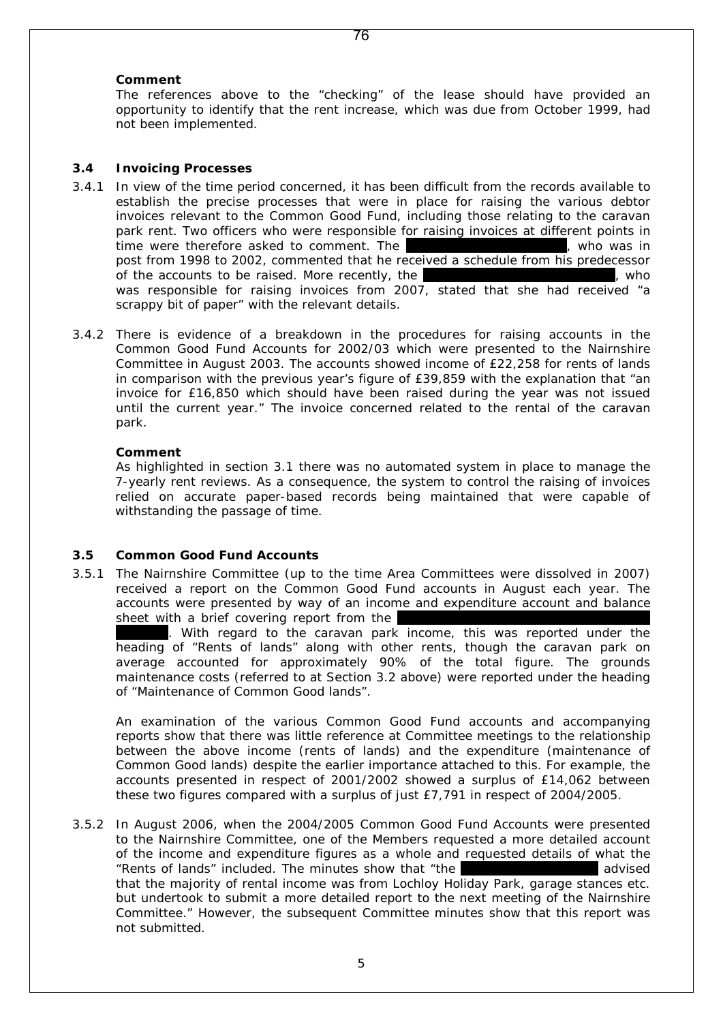#### **Comment**

The references above to the "checking" of the lease should have provided an opportunity to identify that the rent increase, which was due from October 1999, had not been implemented.

#### **3.4 Invoicing Processes**

- 3.4.1 In view of the time period concerned, it has been difficult from the records available to establish the precise processes that were in place for raising the various debtor invoices relevant to the Common Good Fund, including those relating to the caravan park rent. Two officers who were responsible for raising invoices at different points in time were therefore asked to comment. The Area Principal Area Principal Area Principal Accountant, who was in post from 1998 to 2002, commented that he received a schedule from his predecessor of the accounts to be raised. More recently, the Corporate Manager's Secretary, who was responsible for raising invoices from 2007, stated that she had received "a scrappy bit of paper" with the relevant details.
- 3.4.2 There is evidence of a breakdown in the procedures for raising accounts in the Common Good Fund Accounts for 2002/03 which were presented to the Nairnshire Committee in August 2003. The accounts showed income of £22,258 for rents of lands in comparison with the previous year's figure of £39,859 with the explanation that *"an invoice for £16,850 which should have been raised during the year was not issued until the current year."* The invoice concerned related to the rental of the caravan park.

#### **Comment**

As highlighted in section 3.1 there was no automated system in place to manage the 7-yearly rent reviews. As a consequence, the system to control the raising of invoices relied on accurate paper-based records being maintained that were capable of withstanding the passage of time.

#### **3.5 Common Good Fund Accounts**

3.5.1 The Nairnshire Committee (up to the time Area Committees were dissolved in 2007) received a report on the Common Good Fund accounts in August each year. The accounts were presented by way of an income and expenditure account and balance sheet with a brief covering report from the

. With regard to the caravan park income, this was reported under the heading of "Rents of lands" along with other rents, though the caravan park on average accounted for approximately 90% of the total figure. The grounds maintenance costs (referred to at Section 3.2 above) were reported under the heading of "Maintenance of Common Good lands".

An examination of the various Common Good Fund accounts and accompanying reports show that there was little reference at Committee meetings to the relationship between the above income (rents of lands) and the expenditure (maintenance of Common Good lands) despite the earlier importance attached to this. For example, the accounts presented in respect of 2001/2002 showed a surplus of £14,062 between these two figures compared with a surplus of just £7,791 in respect of 2004/2005.

3.5.2 In August 2006, when the 2004/2005 Common Good Fund Accounts were presented to the Nairnshire Committee, one of the Members requested a more detailed account of the income and expenditure figures as a whole and requested details of what the "Rents of lands" included. The minutes show that "*the* Finance *advised that the majority of rental income was from Lochloy Holiday Park, garage stances etc. but undertook to submit a more detailed report to the next meeting of the Nairnshire Committee."* However, the subsequent Committee minutes show that this report was not submitted.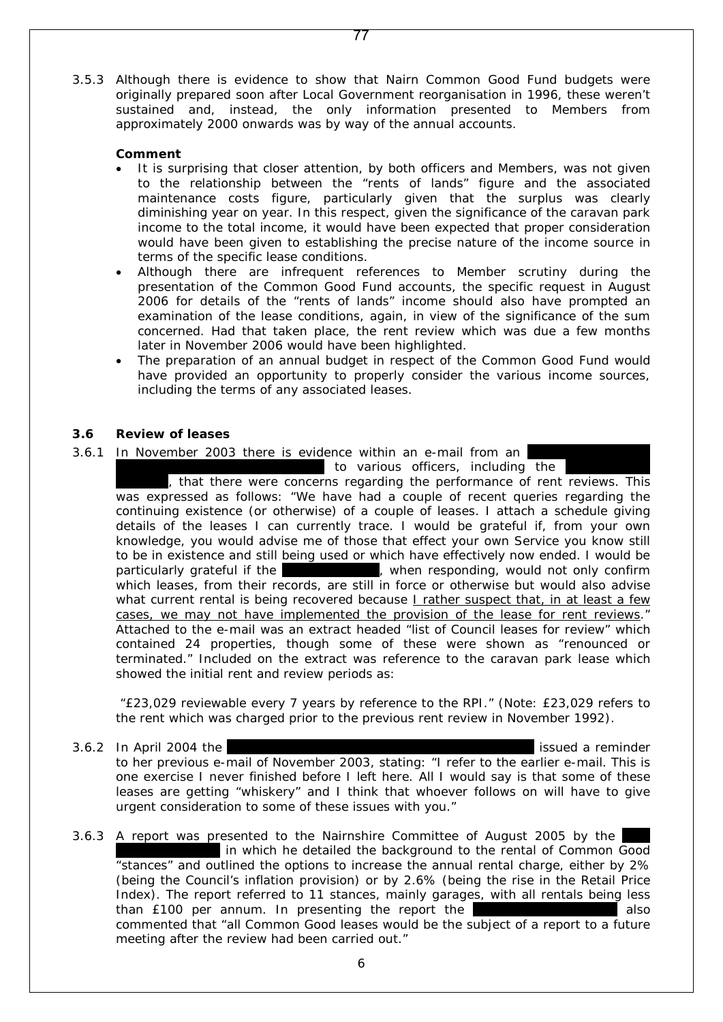3.5.3 Although there is evidence to show that Nairn Common Good Fund budgets were originally prepared soon after Local Government reorganisation in 1996, these weren't sustained and, instead, the only information presented to Members from approximately 2000 onwards was by way of the annual accounts.

77

#### **Comment**

- It is surprising that closer attention, by both officers and Members, was not given to the relationship between the "rents of lands" figure and the associated maintenance costs figure, particularly given that the surplus was clearly diminishing year on year. In this respect, given the significance of the caravan park income to the total income, it would have been expected that proper consideration would have been given to establishing the precise nature of the income source in terms of the specific lease conditions.
- Although there are infrequent references to Member scrutiny during the presentation of the Common Good Fund accounts, the specific request in August 2006 for details of the "rents of lands" income should also have prompted an examination of the lease conditions, again, in view of the significance of the sum concerned. Had that taken place, the rent review which was due a few months later in November 2006 would have been highlighted.
- The preparation of an annual budget in respect of the Common Good Fund would have provided an opportunity to properly consider the various income sources, including the terms of any associated leases.

#### **3.6 Review of leases**

3.6.1 In November 2003 there is evidence within an e-mail from an

to various officers, including the

, that there were concerns regarding the performance of rent reviews. This was expressed as follows: *"We have had a couple of recent queries regarding the continuing existence (or otherwise) of a couple of leases. I attach a schedule giving details of the leases I can currently trace. I would be grateful if, from your own knowledge, you would advise me of those that effect your own Service you know still to be in existence and still being used or which have effectively now ended. I would be particularly grateful if the* Finance Service Service Service Service Service Service Service Service Service S *which leases, from their records, are still in force or otherwise but would also advise what current rental is being recovered because I rather suspect that, in at least a few cases, we may not have implemented the provision of the lease for rent reviews."* Attached to the e-mail was an extract headed "list of Council leases for review" which contained 24 properties, though some of these were shown as "renounced or terminated." Included on the extract was reference to the caravan park lease which showed the initial rent and review periods as:

*"£23,029 reviewable every 7 years by reference to the RPI."* (Note: £23,029 refers to the rent which was charged prior to the previous rent review in November *1992).* 

- 3.6.2 In April 2004 the Area Administrative Assistant, Corporate Services issued a reminder to her previous e-mail of November 2003, stating: *"I refer to the earlier e-mail. This is one exercise I never finished before I left here. All I would say is that some of these*  leases are getting "whiskery" and I think that whoever follows on will have to give *urgent consideration to some of these issues with you."*
- 3.6.3 A report was presented to the Nairnshire Committee of August 2005 by the in which he detailed the background to the rental of Common Good "stances" and outlined the options to increase the annual rental charge, either by 2% (being the Council's inflation provision) or by 2.6% (being the rise in the Retail Price Index). The report referred to 11 stances, mainly garages, with all rentals being less than £100 per annum. In presenting the report the Area Finance Manager also commented that "*all Common Good leases would be the subject of a report to a future meeting after the review had been carried out."*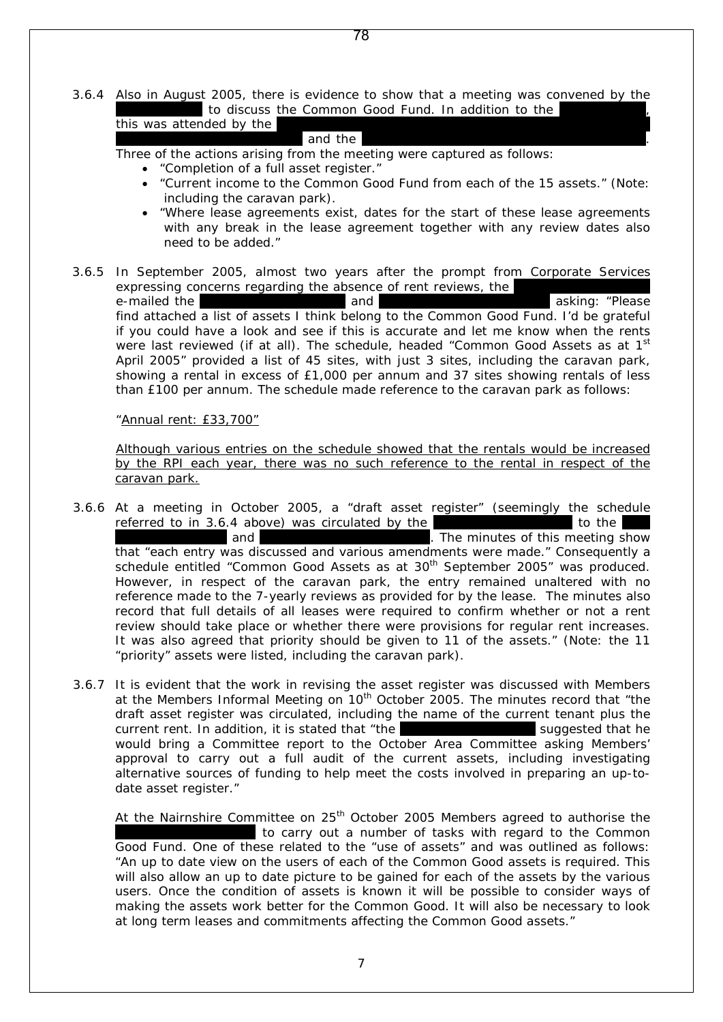3.6.4 Also in August 2005, there is evidence to show that a meeting was convened by the

78

|  | l to discuss the Common Good Fund. In addition to the |  |  |
|--|-------------------------------------------------------|--|--|
|  |                                                       |  |  |

# $\mathcal{L}$  and the Area Community Learning Manager and Manager and Manager.

Three of the actions arising from the meeting were captured as follows:

- *"Completion of a full asset register."*
- *"Current income to the Common Good Fund from each of the 15 assets." (Note: including the caravan park).*
- *"Where lease agreements exist, dates for the start of these lease agreements with any break in the lease agreement together with any review dates also need to be added."*
- 3.6.5 In September 2005, almost two years after the prompt from Corporate Services expressing concerns regarding the absence of rent reviews, the e-mailed the asking: *"Please find attached a list of assets I think belong to the Common Good Fund. I'd be grateful if you could have a look and see if this is accurate and let me know when the rents*  were last reviewed (if at all). The schedule, headed "Common Good Assets as at 1<sup>st</sup> April 2005" provided a list of 45 sites, with just 3 sites, including the caravan park, showing a rental in excess of £1,000 per annum and 37 sites showing rentals of less than £100 per annum. The schedule made reference to the caravan park as follows:

#### *"Annual rent: £33,700"*

Although various entries on the schedule showed that the rentals would be increased by the RPI each year, there was no such reference to the rental in respect of the caravan park.

- 3.6.6 At a meeting in October 2005, a "draft asset register" (seemingly the schedule referred to in 3.6.4 above) was circulated by the  $\overline{\phantom{a}}$ . The minutes of this meeting s . The minutes of this meeting show that "*each entry was discussed and various amendments were made."* Consequently a schedule entitled "Common Good Assets as at 30<sup>th</sup> September 2005" was produced. However, in respect of the caravan park, the entry remained unaltered with no reference made to the 7-yearly reviews as provided for by the lease. The minutes also record that *full details of all leases were required to confirm whether or not a rent review should take place or whether there were provisions for regular rent increases. It was also agreed that priority should be given to 11 of the assets." (*Note: the 11 "priority" assets were listed, including the caravan park).
- 3.6.7 It is evident that the work in revising the asset register was discussed with Members at the Members Informal Meeting on 10<sup>th</sup> October 2005. The minutes record that "the *draft asset register was circulated, including the name of the current tenant plus the current rent.* In addition, it is stated that "the **Area Finance Intervals** *suggested that he would bring a Committee report to the October Area Committee asking Members'*  approval to carry out a full audit of the current assets, including investigating *alternative sources of funding to help meet the costs involved in preparing an up-todate asset register."*

At the Nairnshire Committee on  $25<sup>th</sup>$  October 2005 Members agreed to authorise the to carry out a number of tasks with regard to the Common Good Fund. One of these related to the "use of assets" and was outlined as follows: *"An up to date view on the users of each of the Common Good assets is required. This will also allow an up to date picture to be gained for each of the assets by the various users. Once the condition of assets is known it will be possible to consider ways of making the assets work better for the Common Good. It will also be necessary to look at long term leases and commitments affecting the Common Good assets."*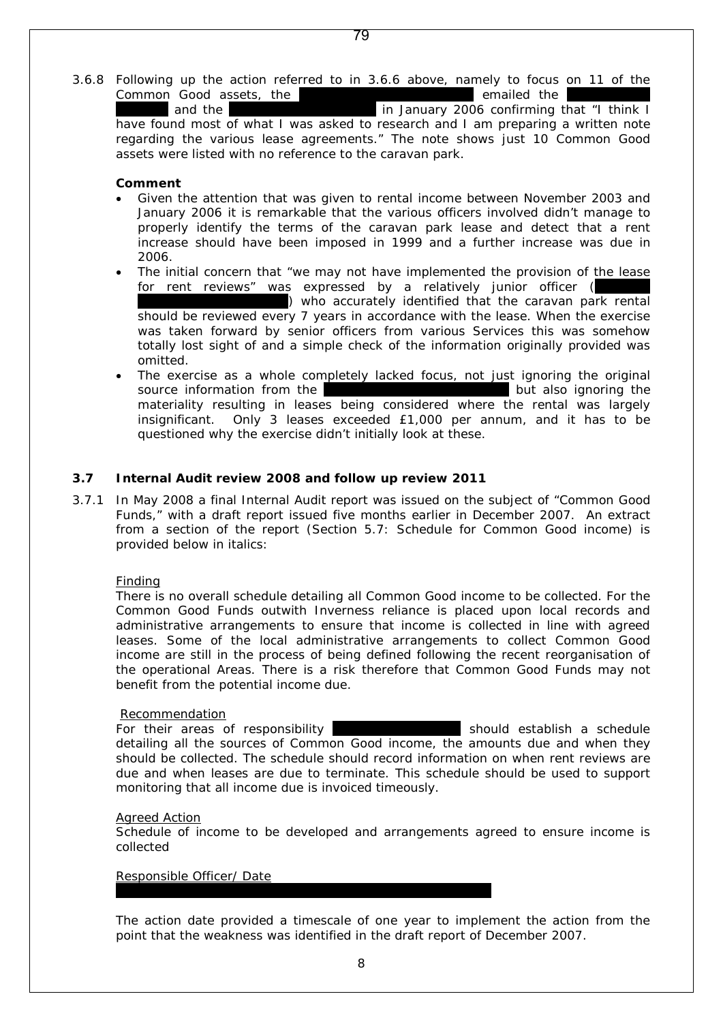3.6.8 Following up the action referred to in 3.6.6 above, namely to focus on 11 of the Common Good assets, the Area Administrator emailed the Area Finance Area Finance Area Finance Common Solicitor emailed the Area Finance Finance Area Finance Finance Finance Finance Europe and the Area Finance Finance Finan in January 2006 confirming that "*I think I* 

*have found most of what I was asked to research and I am preparing a written note regarding the various lease agreements."* The note shows just 10 Common Good assets were listed with no reference to the caravan park.

#### **Comment**

- Given the attention that was given to rental income between November 2003 and January 2006 it is remarkable that the various officers involved didn't manage to properly identify the terms of the caravan park lease and detect that a rent increase should have been imposed in 1999 and a further increase was due in 2006.
- The initial concern that "*we may not have implemented the provision of the lease for rent reviews"* was expressed by a relatively junior officer ( ) who accurately identified that the caravan park rental should be reviewed every 7 years in accordance with the lease. When the exercise was taken forward by senior officers from various Services this was somehow totally lost sight of and a simple check of the information originally provided was omitted.
- The exercise as a whole completely lacked focus, not just ignoring the original source information from the Area Administrative Assistant but also ignoring the materiality resulting in leases being considered where the rental was largely insignificant. Only 3 leases exceeded £1,000 per annum, and it has to be questioned why the exercise didn't initially look at these.

#### **3.7 Internal Audit review 2008 and follow up review 2011**

3.7.1 In May 2008 a final Internal Audit report was issued on the subject of "Common Good Funds," with a draft report issued five months earlier in December 2007. An extract from a section of the report (Section 5.7: Schedule for Common Good income) is provided below in italics:

#### *Finding*

*There is no overall schedule detailing all Common Good income to be collected. For the Common Good Funds outwith Inverness reliance is placed upon local records and administrative arrangements to ensure that income is collected in line with agreed leases. Some of the local administrative arrangements to collect Common Good income are still in the process of being defined following the recent reorganisation of the operational Areas. There is a risk therefore that Common Good Funds may not benefit from the potential income due.*

#### *Recommendation*

*For their areas of responsibility* and *should establish a schedule detailing all the sources of Common Good income, the amounts due and when they should be collected. The schedule should record information on when rent reviews are due and when leases are due to terminate. This schedule should be used to support monitoring that all income due is invoiced timeously.*

#### *Agreed Action*

*Schedule of income to be developed and arrangements agreed to ensure income is collected*

#### *Responsible Officer/ Date*

The action date provided a timescale of one year to implement the action from the point that the weakness was identified in the draft report of December 2007.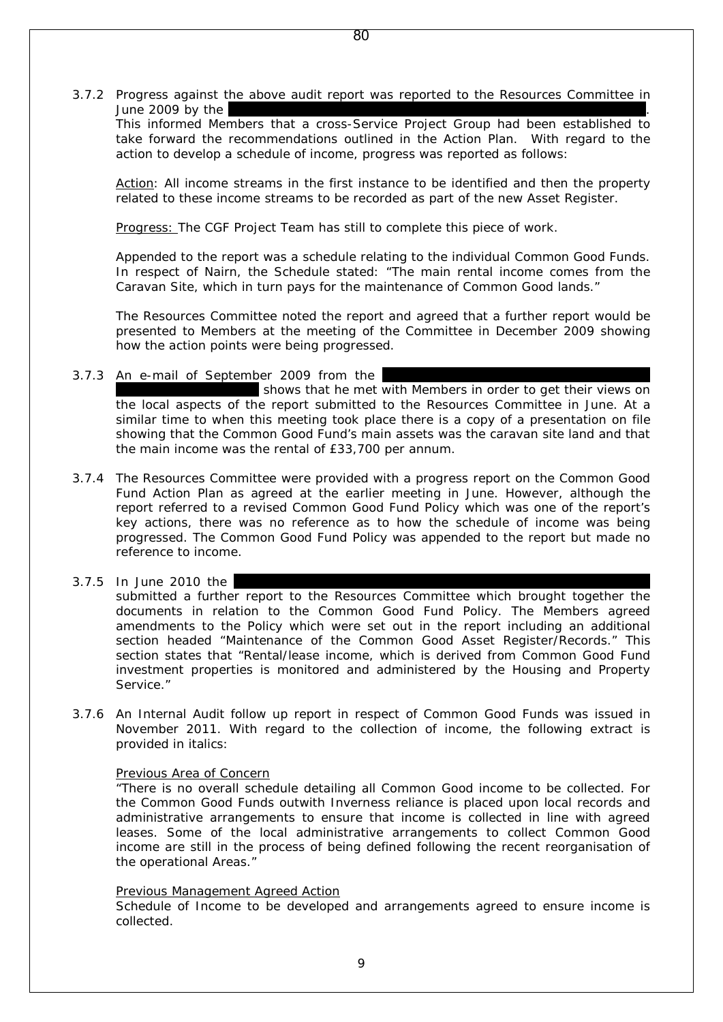3.7.2 Progress against the above audit report was reported to the Resources Committee in June  $2009$  by the

This informed Members that a cross-Service Project Group had been established to take forward the recommendations outlined in the Action Plan. With regard to the action to develop a schedule of income, progress was reported as follows:

Action: All income streams in the first instance to be identified and then the property related to these income streams to be recorded as part of the new Asset Register.

Progress: The CGF Project Team has still to complete this piece of work.

Appended to the report was a schedule relating to the individual Common Good Funds. In respect of Nairn, the Schedule stated: "*The main rental income comes from the Caravan Site, which in turn pays for the maintenance of Common Good lands."*

The Resources Committee noted the report and agreed that a further report would be presented to Members at the meeting of the Committee in December 2009 showing how the action points were being progressed.

3.7.3 An e-mail of September 2009 from the

shows that he met with Members in order to get their views on the local aspects of the report submitted to the Resources Committee in June. At a similar time to when this meeting took place there is a copy of a presentation on file showing that the Common Good Fund's main assets was the caravan site land and that the main income was the rental of £33,700 per annum.

- 3.7.4 The Resources Committee were provided with a progress report on the Common Good Fund Action Plan as agreed at the earlier meeting in June. However, although the report referred to a revised Common Good Fund Policy which was one of the report's key actions, there was no reference as to how the schedule of income was being progressed. The Common Good Fund Policy was appended to the report but made no reference to income.
- $3.7.5$  In June 2010 the

submitted a further report to the Resources Committee which brought together the documents in relation to the Common Good Fund Policy. The Members agreed amendments to the Policy which were set out in the report including an additional section headed "Maintenance of the Common Good Asset Register/Records." This section states that "*Rental/lease income, which is derived from Common Good Fund investment properties is monitored and administered by the Housing and Property Service."*

3.7.6 An Internal Audit follow up report in respect of Common Good Funds was issued in November 2011. With regard to the collection of income, the following extract is provided in italics:

#### *Previous Area of Concern*

*"There is no overall schedule detailing all Common Good income to be collected. For the Common Good Funds outwith Inverness reliance is placed upon local records and administrative arrangements to ensure that income is collected in line with agreed leases. Some of the local administrative arrangements to collect Common Good income are still in the process of being defined following the recent reorganisation of the operational Areas."*

#### *Previous Management Agreed Action*

*Schedule of Income to be developed and arrangements agreed to ensure income is collected.*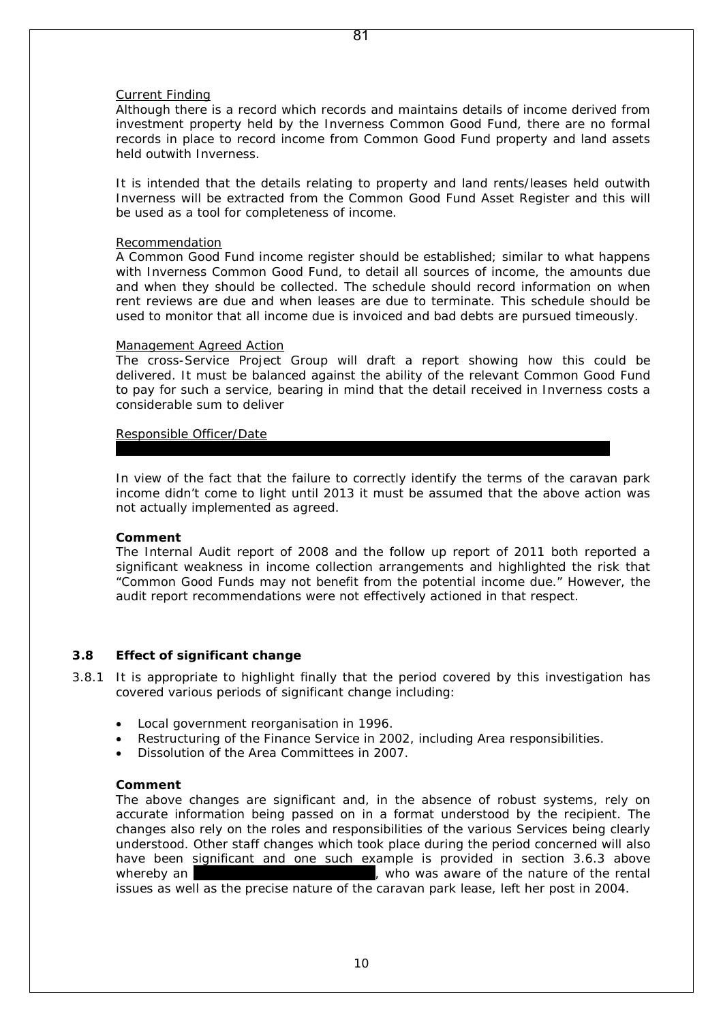#### 81

#### *Current Finding*

*Although there is a record which records and maintains details of income derived from investment property held by the Inverness Common Good Fund, there are no formal records in place to record income from Common Good Fund property and land assets held outwith Inverness.*

*It is intended that the details relating to property and land rents/leases held outwith Inverness will be extracted from the Common Good Fund Asset Register and this will be used as a tool for completeness of income.*

#### *Recommendation*

*A Common Good Fund income register should be established; similar to what happens with Inverness Common Good Fund, to detail all sources of income, the amounts due and when they should be collected. The schedule should record information on when rent reviews are due and when leases are due to terminate. This schedule should be used to monitor that all income due is invoiced and bad debts are pursued timeously.*

#### *Management Agreed Action*

*The cross-Service Project Group will draft a report showing how this could be delivered. It must be balanced against the ability of the relevant Common Good Fund to pay for such a service, bearing in mind that the detail received in Inverness costs a considerable sum to deliver*

*Responsible Officer/Date*

In view of the fact that the failure to correctly identify the terms of the caravan park income didn't come to light until 2013 it must be assumed that the above action was not actually implemented as agreed.

*Corporate Manager, Inverness, Nairn and Badenoch & Strathspey/ January 2011*

#### **Comment**

The Internal Audit report of 2008 and the follow up report of 2011 both reported a significant weakness in income collection arrangements and highlighted the risk that "Common Good Funds may not benefit from the potential income due." However, the audit report recommendations were not effectively actioned in that respect.

#### **3.8 Effect of significant change**

3.8.1 It is appropriate to highlight finally that the period covered by this investigation has covered various periods of significant change including:

- Local government reorganisation in 1996.
- Restructuring of the Finance Service in 2002, including Area responsibilities.
- Dissolution of the Area Committees in 2007.

#### **Comment**

The above changes are significant and, in the absence of robust systems, rely on accurate information being passed on in a format understood by the recipient. The changes also rely on the roles and responsibilities of the various Services being clearly understood. Other staff changes which took place during the period concerned will also have been significant and one such example is provided in section 3.6.3 above whereby an Area Administrative Assistant Area Administrative Assistant Area Administrative Assistant Area Administrative Assistant Area Administrative Assistant Area Administrative Assistant Area Administrative Area Admini issues as well as the precise nature of the caravan park lease, left her post in 2004.